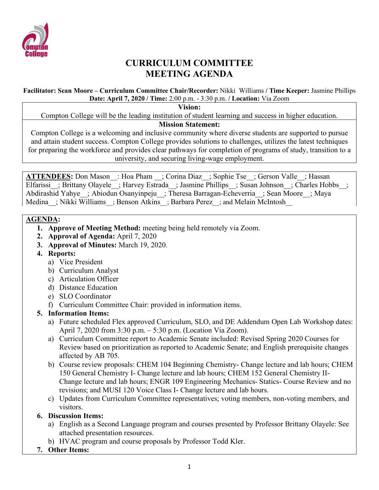

# **CURRICULUM COMMITTEE MEETING AGENDA**

#### **Facilitator: Sean Moore – Curriculum Committee Chair/Recorder:** Nikki Williams **/ Time Keeper:** Jasmine Phillips **Date: April 7, 2020 / Time:** 2:00 p.m. - 3:30 p.m. **/ Location:** Via Zoom

**Vision:**

Compton College will be the leading institution of student learning and success in higher education.

#### **Mission Statement:**

Compton College is a welcoming and inclusive community where diverse students are supported to pursue and attain student success. Compton College provides solutions to challenges, utilizes the latest techniques for preparing the workforce and provides clear pathways for completion of programs of study, transition to a university, and securing living-wage employment.

**ATTENDEES:** Don Mason : Hoa Pham ; Corina Diaz ; Sophie Tse ; Gerson Valle ; Hassan Elfarissi ; Brittany Olayele ; Harvey Estrada ; Jasmine Phillips ; Susan Johnson ; Charles Hobbs ; Abdirashid Yahye ; Abiodun Osanyinpeju ; Theresa Barragan-Echeverria ; Sean Moore ; Maya Medina : Nikki Williams : Benson Atkins : Barbara Perez : and Melain McIntosh

#### **AGENDA:**

- **1. Approve of Meeting Method:** meeting being held remotely via Zoom.
- **2. Approval of Agenda:** April 7, 2020
- **3. Approval of Minutes:** March 19, 2020.
- **4. Reports:**
	- a) Vice President
	- b) Curriculum Analyst
	- c) Articulation Officer
	- d) Distance Education
	- e) SLO Coordinator
	- f) Curriculum Committee Chair: provided in information items.

### **5. Information Items:**

- a) Future scheduled Flex approved Curriculum, SLO, and DE Addendum Open Lab Workshop dates: April 7, 2020 from 3:30 p.m. – 5:30 p.m. (Location Via Zoom).
- a) Curriculum Committee report to Academic Senate included: Revised Spring 2020 Courses for Review based on prioritization as reported to Academic Senate; and English prerequisite changes affected by AB 705.
- b) Course review proposals: CHEM 104 Beginning Chemistry- Change lecture and lab hours; CHEM 150 General Chemistry I- Change lecture and lab hours; CHEM 152 General Chemistry II-Change lecture and lab hours; ENGR 109 Engineering Mechanics- Statics- Course Review and no revisions; and MUSI 120 Voice Class I- Change lecture and lab hours.
- c) Updates from Curriculum Committee representatives; voting members, non-voting members, and visitors.

## **6. Discussion Items:**

- a) English as a Second Language program and courses presented by Professor Brittany Olayele: See attached presentation resources.
- b) HVAC program and course proposals by Professor Todd Kler.
- **7. Other Items:**